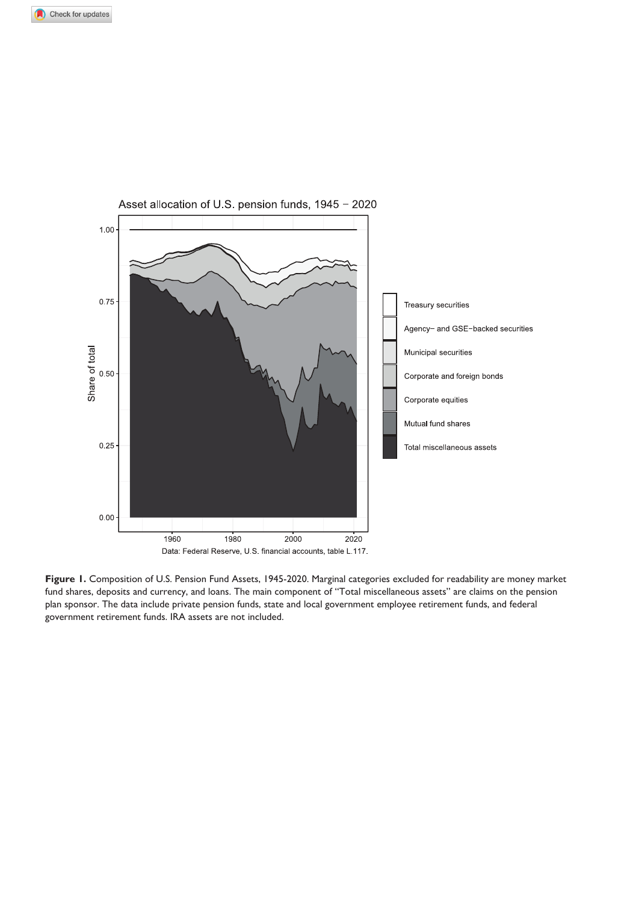

**Figure 1.** Composition of U.S. Pension Fund Assets, 1945-2020. Marginal categories excluded for readability are money market fund shares, deposits and currency, and loans. The main component of "Total miscellaneous assets" are claims on the pension plan sponsor. The data include private pension funds, state and local government employee retirement funds, and federal government retirement funds. IRA assets are not included.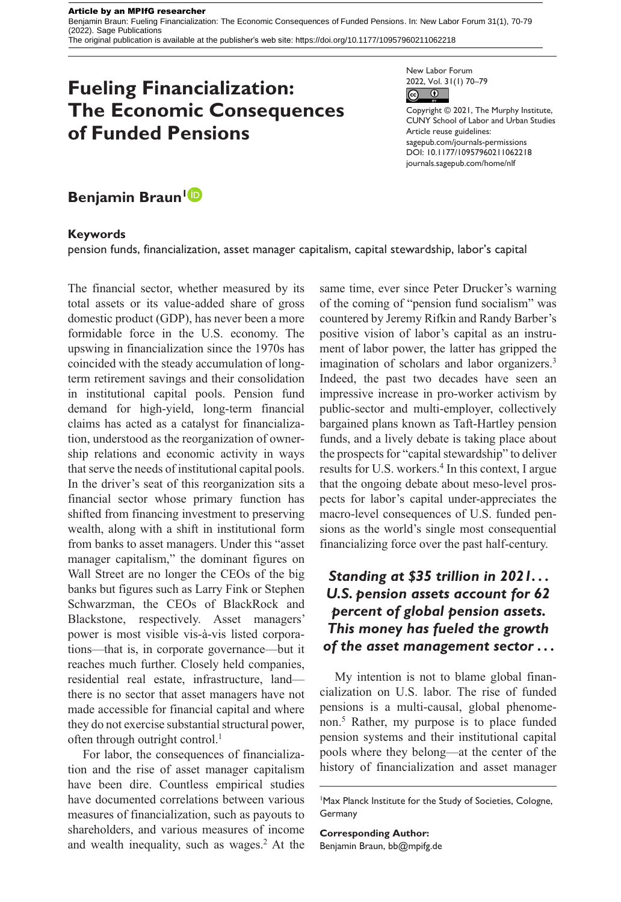#### **106221**<br>Article by an MPIfG researcher

Benjamin Braun: Fueling Financialization: The Economic Consequences of Funded Pensions. In: New Labor Forum 31(1), 70-79 (2022). Sage Publications The original publication is available at the publisher's web site: https://doi.org/10.1177/10957960211062218

# **Fueling Financialization: The Economic Consequences of Funded Pensions**

New Labor Forum 2022, Vol. 31(1) 70–79  $\circ$   $\circ$ 

Article reuse guidelines: Copyright © 2021, The Murphy Institute, CUNY School of Labor and Urban Studies [sagepub.com/journals-permissions](https://us.sagepub.com/en-us/journals-permissions)  DOI: 10.1177/10957960211062218 [journals.sagepub.com/home/nlf](https://journals.sagepub.com/home/nlf)

# **Benjamin Braun1**

#### **Keywords**

pension funds, financialization, asset manager capitalism, capital stewardship, labor's capital

The financial sector, whether measured by its total assets or its value-added share of gross domestic product (GDP), has never been a more formidable force in the U.S. economy. The upswing in financialization since the 1970s has coincided with the steady accumulation of longterm retirement savings and their consolidation in institutional capital pools. Pension fund demand for high-yield, long-term financial claims has acted as a catalyst for financialization, understood as the reorganization of ownership relations and economic activity in ways that serve the needs of institutional capital pools. In the driver's seat of this reorganization sits a financial sector whose primary function has shifted from financing investment to preserving wealth, along with a shift in institutional form from banks to asset managers. Under this "asset manager capitalism," the dominant figures on Wall Street are no longer the CEOs of the big banks but figures such as Larry Fink or Stephen Schwarzman, the CEOs of BlackRock and Blackstone, respectively. Asset managers' power is most visible vis-à-vis listed corporations—that is, in corporate governance—but it reaches much further. Closely held companies, residential real estate, infrastructure, land there is no sector that asset managers have not made accessible for financial capital and where they do not exercise substantial structural power, often through outright control.<sup>1</sup>

For labor, the consequences of financialization and the rise of asset manager capitalism have been dire. Countless empirical studies have documented correlations between various measures of financialization, such as payouts to shareholders, and various measures of income and wealth inequality, such as wages.<sup>2</sup> At the same time, ever since Peter Drucker's warning of the coming of "pension fund socialism" was countered by Jeremy Rifkin and Randy Barber's positive vision of labor's capital as an instrument of labor power, the latter has gripped the imagination of scholars and labor organizers.<sup>3</sup> Indeed, the past two decades have seen an impressive increase in pro-worker activism by public-sector and multi-employer, collectively bargained plans known as Taft-Hartley pension funds, and a lively debate is taking place about the prospects for "capital stewardship" to deliver results for U.S. workers.<sup>4</sup> In this context, I argue that the ongoing debate about meso-level prospects for labor's capital under-appreciates the macro-level consequences of U.S. funded pensions as the world's single most consequential financializing force over the past half-century.

# *Standing at \$35 trillion in 2021. . . U.S. pension assets account for 62 percent of global pension assets. This money has fueled the growth of the asset management sector . . .*

My intention is not to blame global financialization on U.S. labor. The rise of funded pensions is a multi-causal, global phenomenon.5 Rather, my purpose is to place funded pension systems and their institutional capital pools where they belong—at the center of the history of financialization and asset manager

**Corresponding Author:** Benjamin Braun, [bb@mpifg.de](mailto:bb@mpifg.de)

<sup>1</sup> Max Planck Institute for the Study of Societies, Cologne, **Germany**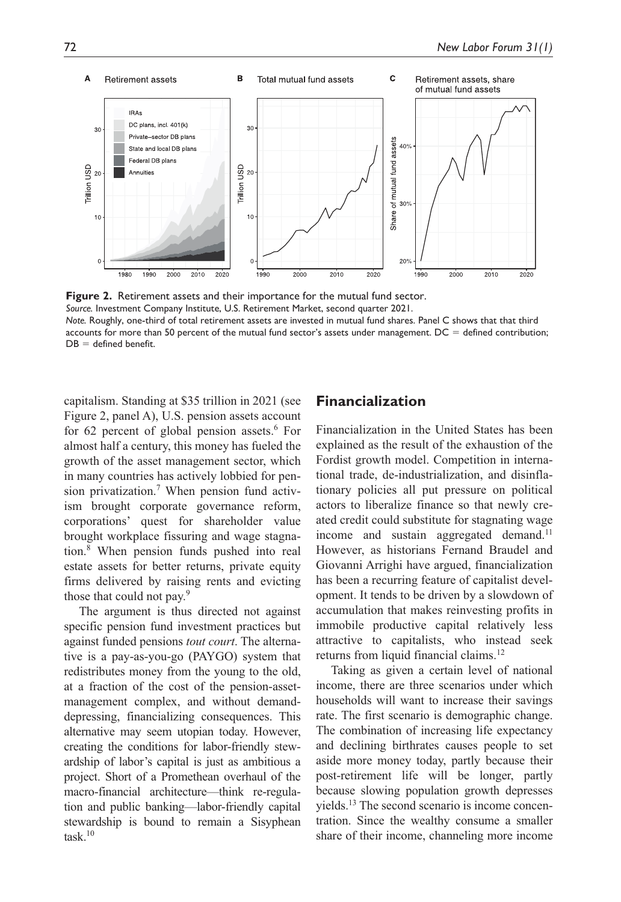

**Figure 2.** Retirement assets and their importance for the mutual fund sector. *Source.* Investment Company Institute, U.S. Retirement Market, second quarter 2021. *Note.* Roughly, one-third of total retirement assets are invested in mutual fund shares. Panel C shows that that third accounts for more than 50 percent of the mutual fund sector's assets under management.  $DC =$  defined contribution;  $DB =$  defined benefit.

capitalism. Standing at \$35 trillion in 2021 (see Figure 2, panel A), U.S. pension assets account for 62 percent of global pension assets.<sup>6</sup> For almost half a century, this money has fueled the growth of the asset management sector, which in many countries has actively lobbied for pension privatization.<sup>7</sup> When pension fund activism brought corporate governance reform, corporations' quest for shareholder value brought workplace fissuring and wage stagnation.8 When pension funds pushed into real estate assets for better returns, private equity firms delivered by raising rents and evicting those that could not pay.<sup>9</sup>

The argument is thus directed not against specific pension fund investment practices but against funded pensions *tout court*. The alternative is a pay-as-you-go (PAYGO) system that redistributes money from the young to the old, at a fraction of the cost of the pension-assetmanagement complex, and without demanddepressing, financializing consequences. This alternative may seem utopian today. However, creating the conditions for labor-friendly stewardship of labor's capital is just as ambitious a project. Short of a Promethean overhaul of the macro-financial architecture—think re-regulation and public banking—labor-friendly capital stewardship is bound to remain a Sisyphean task. $10$ 

#### **Financialization**

Financialization in the United States has been explained as the result of the exhaustion of the Fordist growth model. Competition in international trade, de-industrialization, and disinflationary policies all put pressure on political actors to liberalize finance so that newly created credit could substitute for stagnating wage income and sustain aggregated demand.<sup>11</sup> However, as historians Fernand Braudel and Giovanni Arrighi have argued, financialization has been a recurring feature of capitalist development. It tends to be driven by a slowdown of accumulation that makes reinvesting profits in immobile productive capital relatively less attractive to capitalists, who instead seek returns from liquid financial claims.<sup>12</sup>

Taking as given a certain level of national income, there are three scenarios under which households will want to increase their savings rate. The first scenario is demographic change. The combination of increasing life expectancy and declining birthrates causes people to set aside more money today, partly because their post-retirement life will be longer, partly because slowing population growth depresses yields.<sup>13</sup> The second scenario is income concentration. Since the wealthy consume a smaller share of their income, channeling more income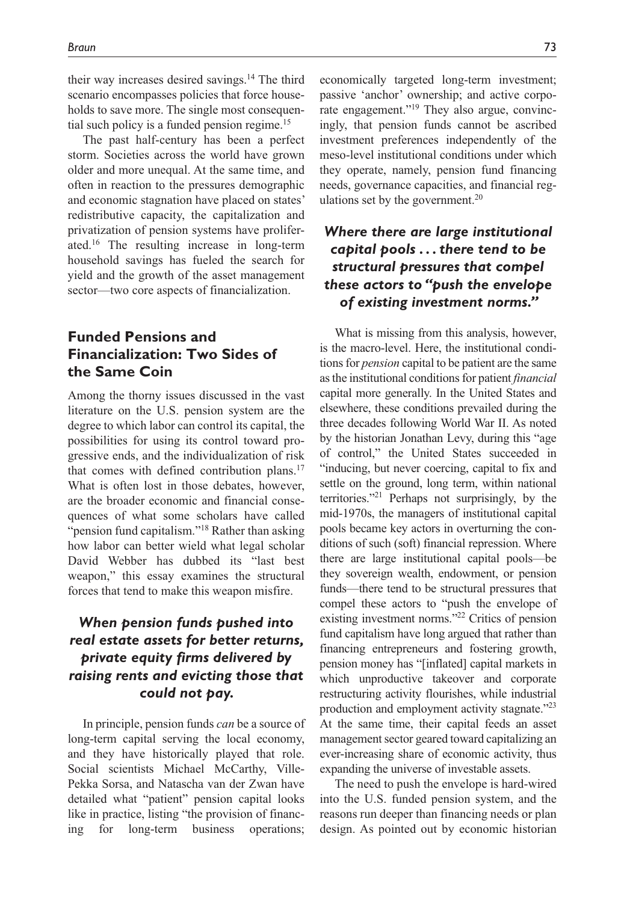their way increases desired savings.14 The third scenario encompasses policies that force households to save more. The single most consequential such policy is a funded pension regime.<sup>15</sup>

The past half-century has been a perfect storm. Societies across the world have grown older and more unequal. At the same time, and often in reaction to the pressures demographic and economic stagnation have placed on states' redistributive capacity, the capitalization and privatization of pension systems have proliferated.16 The resulting increase in long-term household savings has fueled the search for yield and the growth of the asset management sector—two core aspects of financialization.

### **Funded Pensions and Financialization: Two Sides of the Same Coin**

Among the thorny issues discussed in the vast literature on the U.S. pension system are the degree to which labor can control its capital, the possibilities for using its control toward progressive ends, and the individualization of risk that comes with defined contribution plans.<sup>17</sup> What is often lost in those debates, however, are the broader economic and financial consequences of what some scholars have called "pension fund capitalism."<sup>18</sup> Rather than asking how labor can better wield what legal scholar David Webber has dubbed its "last best weapon," this essay examines the structural forces that tend to make this weapon misfire.

# *When pension funds pushed into real estate assets for better returns, private equity firms delivered by raising rents and evicting those that could not pay.*

In principle, pension funds *can* be a source of long-term capital serving the local economy, and they have historically played that role. Social scientists Michael McCarthy, Ville-Pekka Sorsa, and Natascha van der Zwan have detailed what "patient" pension capital looks like in practice, listing "the provision of financing for long-term business operations;

economically targeted long-term investment; passive 'anchor' ownership; and active corporate engagement."<sup>19</sup> They also argue, convincingly, that pension funds cannot be ascribed investment preferences independently of the meso-level institutional conditions under which they operate, namely, pension fund financing needs, governance capacities, and financial regulations set by the government.20

### *Where there are large institutional capital pools . . . there tend to be structural pressures that compel these actors to "push the envelope of existing investment norms."*

What is missing from this analysis, however, is the macro-level. Here, the institutional conditions for *pension* capital to be patient are the same as the institutional conditions for patient *financial* capital more generally. In the United States and elsewhere, these conditions prevailed during the three decades following World War II. As noted by the historian Jonathan Levy, during this "age of control," the United States succeeded in "inducing, but never coercing, capital to fix and settle on the ground, long term, within national territories."21 Perhaps not surprisingly, by the mid-1970s, the managers of institutional capital pools became key actors in overturning the conditions of such (soft) financial repression. Where there are large institutional capital pools—be they sovereign wealth, endowment, or pension funds—there tend to be structural pressures that compel these actors to "push the envelope of existing investment norms."22 Critics of pension fund capitalism have long argued that rather than financing entrepreneurs and fostering growth, pension money has "[inflated] capital markets in which unproductive takeover and corporate restructuring activity flourishes, while industrial production and employment activity stagnate."<sup>23</sup> At the same time, their capital feeds an asset management sector geared toward capitalizing an ever-increasing share of economic activity, thus expanding the universe of investable assets.

The need to push the envelope is hard-wired into the U.S. funded pension system, and the reasons run deeper than financing needs or plan design. As pointed out by economic historian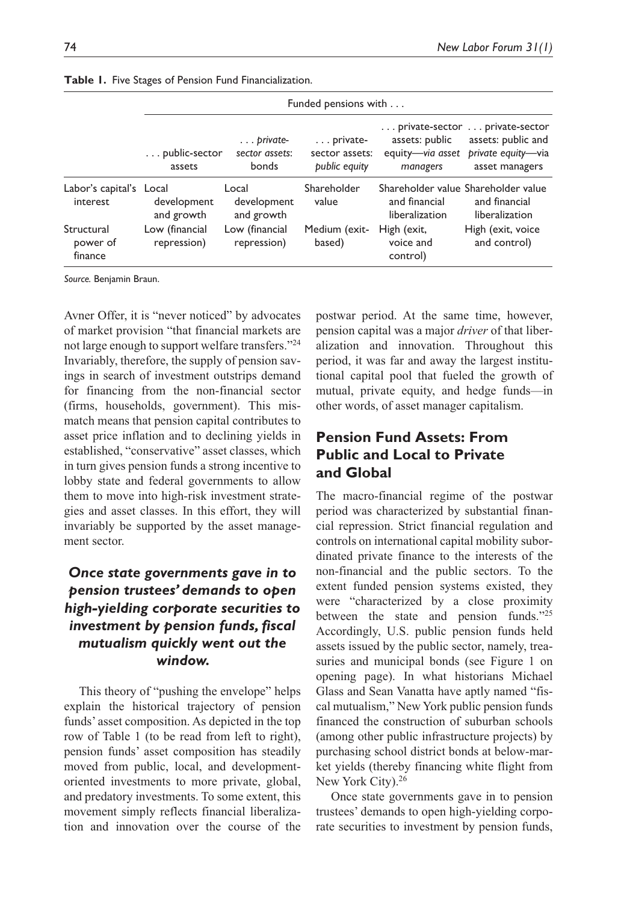|                                     | Funded pensions with             |                                              |                                                      |                                                |                                                                                              |
|-------------------------------------|----------------------------------|----------------------------------------------|------------------------------------------------------|------------------------------------------------|----------------------------------------------------------------------------------------------|
|                                     | $\ldots$ public-sector<br>assets | $\ldots$ private-<br>sector assets:<br>bonds | $\ldots$ private-<br>sector assets:<br>public equity | assets: public<br>equity-via asset<br>managers | private-sector  private-sector<br>assets: public and<br>private equity-via<br>asset managers |
| Labor's capital's Local<br>interest | development<br>and growth        | Local<br>development<br>and growth           | Shareholder<br>value                                 | and financial<br>liberalization                | Shareholder value Shareholder value<br>and financial<br>liberalization                       |
| Structural<br>power of<br>finance   | Low (financial<br>repression)    | Low (financial<br>repression)                | Medium (exit-<br>based)                              | High (exit,<br>voice and<br>control)           | High (exit, voice<br>and control)                                                            |

**Table 1.** Five Stages of Pension Fund Financialization.

*Source.* Benjamin Braun.

Avner Offer, it is "never noticed" by advocates of market provision "that financial markets are not large enough to support welfare transfers."24 Invariably, therefore, the supply of pension savings in search of investment outstrips demand for financing from the non-financial sector (firms, households, government). This mismatch means that pension capital contributes to asset price inflation and to declining yields in established, "conservative" asset classes, which in turn gives pension funds a strong incentive to lobby state and federal governments to allow them to move into high-risk investment strategies and asset classes. In this effort, they will invariably be supported by the asset management sector.

### *Once state governments gave in to pension trustees' demands to open high-yielding corporate securities to investment by pension funds, fiscal mutualism quickly went out the window.*

This theory of "pushing the envelope" helps explain the historical trajectory of pension funds' asset composition. As depicted in the top row of Table 1 (to be read from left to right), pension funds' asset composition has steadily moved from public, local, and developmentoriented investments to more private, global, and predatory investments. To some extent, this movement simply reflects financial liberalization and innovation over the course of the postwar period. At the same time, however, pension capital was a major *driver* of that liberalization and innovation. Throughout this period, it was far and away the largest institutional capital pool that fueled the growth of mutual, private equity, and hedge funds—in other words, of asset manager capitalism.

### **Pension Fund Assets: From Public and Local to Private and Global**

The macro-financial regime of the postwar period was characterized by substantial financial repression. Strict financial regulation and controls on international capital mobility subordinated private finance to the interests of the non-financial and the public sectors. To the extent funded pension systems existed, they were "characterized by a close proximity between the state and pension funds."<sup>25</sup> Accordingly, U.S. public pension funds held assets issued by the public sector, namely, treasuries and municipal bonds (see Figure 1 on opening page). In what historians Michael Glass and Sean Vanatta have aptly named "fiscal mutualism," New York public pension funds financed the construction of suburban schools (among other public infrastructure projects) by purchasing school district bonds at below-market yields (thereby financing white flight from New York City).<sup>26</sup>

Once state governments gave in to pension trustees' demands to open high-yielding corporate securities to investment by pension funds,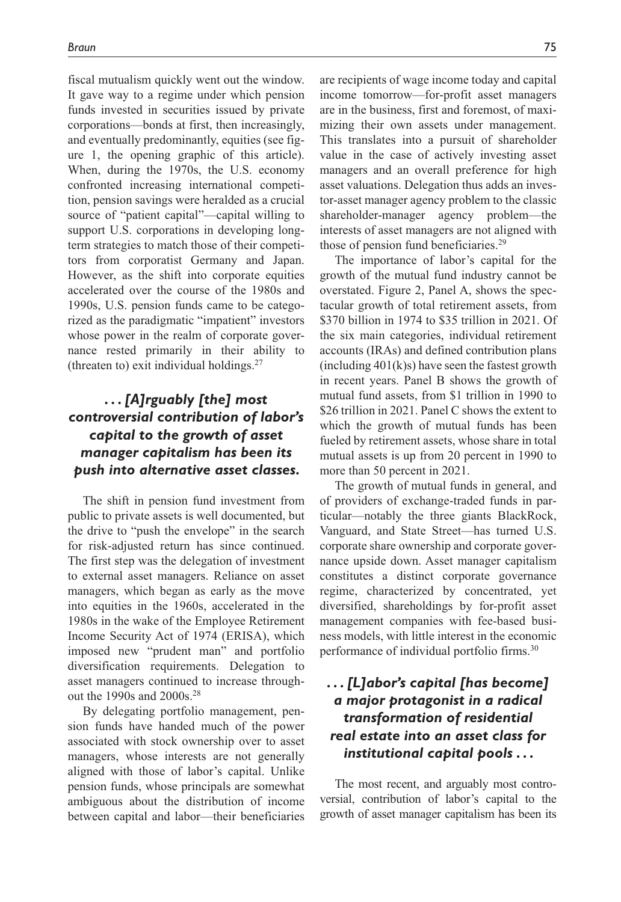fiscal mutualism quickly went out the window. It gave way to a regime under which pension funds invested in securities issued by private corporations—bonds at first, then increasingly, and eventually predominantly, equities (see figure 1, the opening graphic of this article). When, during the 1970s, the U.S. economy confronted increasing international competition, pension savings were heralded as a crucial source of "patient capital"—capital willing to support U.S. corporations in developing longterm strategies to match those of their competitors from corporatist Germany and Japan. However, as the shift into corporate equities accelerated over the course of the 1980s and 1990s, U.S. pension funds came to be categorized as the paradigmatic "impatient" investors whose power in the realm of corporate governance rested primarily in their ability to (threaten to) exit individual holdings.27

### *. . . [A]rguably [the] most controversial contribution of labor's capital to the growth of asset manager capitalism has been its push into alternative asset classes.*

The shift in pension fund investment from public to private assets is well documented, but the drive to "push the envelope" in the search for risk-adjusted return has since continued. The first step was the delegation of investment to external asset managers. Reliance on asset managers, which began as early as the move into equities in the 1960s, accelerated in the 1980s in the wake of the Employee Retirement Income Security Act of 1974 (ERISA), which imposed new "prudent man" and portfolio diversification requirements. Delegation to asset managers continued to increase throughout the 1990s and 2000s.28

By delegating portfolio management, pension funds have handed much of the power associated with stock ownership over to asset managers, whose interests are not generally aligned with those of labor's capital. Unlike pension funds, whose principals are somewhat ambiguous about the distribution of income between capital and labor—their beneficiaries

are recipients of wage income today and capital income tomorrow—for-profit asset managers are in the business, first and foremost, of maximizing their own assets under management. This translates into a pursuit of shareholder value in the case of actively investing asset managers and an overall preference for high asset valuations. Delegation thus adds an investor-asset manager agency problem to the classic shareholder-manager agency problem—the interests of asset managers are not aligned with those of pension fund beneficiaries.<sup>29</sup>

The importance of labor's capital for the growth of the mutual fund industry cannot be overstated. Figure 2, Panel A, shows the spectacular growth of total retirement assets, from \$370 billion in 1974 to \$35 trillion in 2021. Of the six main categories, individual retirement accounts (IRAs) and defined contribution plans  $(including 401(k)s)$  have seen the fastest growth in recent years. Panel B shows the growth of mutual fund assets, from \$1 trillion in 1990 to \$26 trillion in 2021. Panel C shows the extent to which the growth of mutual funds has been fueled by retirement assets, whose share in total mutual assets is up from 20 percent in 1990 to more than 50 percent in 2021.

The growth of mutual funds in general, and of providers of exchange-traded funds in particular—notably the three giants BlackRock, Vanguard, and State Street—has turned U.S. corporate share ownership and corporate governance upside down. Asset manager capitalism constitutes a distinct corporate governance regime, characterized by concentrated, yet diversified, shareholdings by for-profit asset management companies with fee-based business models, with little interest in the economic performance of individual portfolio firms.30

### *. . . [L]abor's capital [has become] a major protagonist in a radical transformation of residential real estate into an asset class for institutional capital pools . . .*

The most recent, and arguably most controversial, contribution of labor's capital to the growth of asset manager capitalism has been its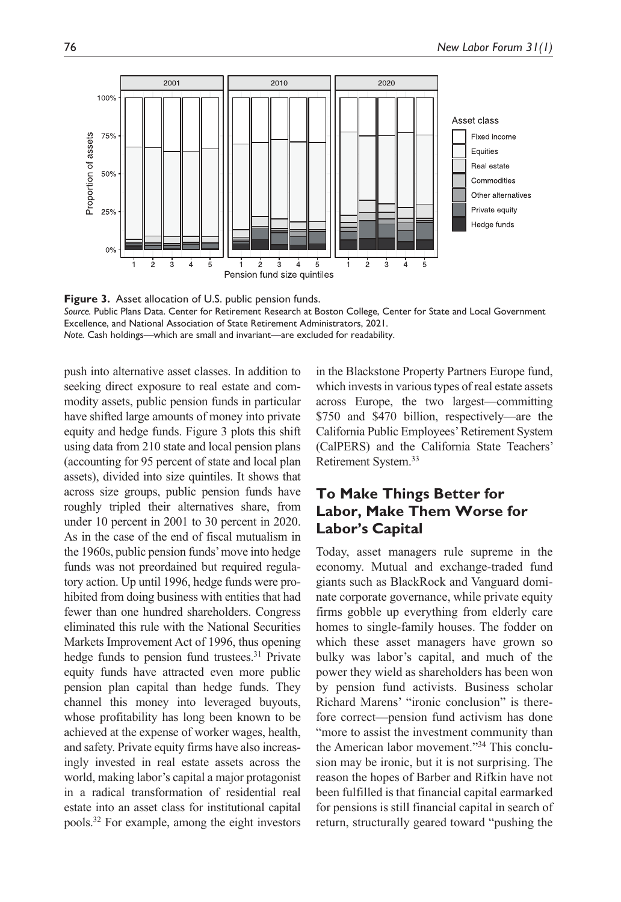

**Figure 3.** Asset allocation of U.S. public pension funds. *Source.* Public Plans Data. Center for Retirement Research at Boston College, Center for State and Local Government Excellence, and National Association of State Retirement Administrators, 2021. *Note.* Cash holdings—which are small and invariant—are excluded for readability.

push into alternative asset classes. In addition to seeking direct exposure to real estate and commodity assets, public pension funds in particular have shifted large amounts of money into private equity and hedge funds. Figure 3 plots this shift using data from 210 state and local pension plans (accounting for 95 percent of state and local plan assets), divided into size quintiles. It shows that across size groups, public pension funds have roughly tripled their alternatives share, from under 10 percent in 2001 to 30 percent in 2020. As in the case of the end of fiscal mutualism in the 1960s, public pension funds' move into hedge funds was not preordained but required regulatory action. Up until 1996, hedge funds were prohibited from doing business with entities that had fewer than one hundred shareholders. Congress eliminated this rule with the National Securities Markets Improvement Act of 1996, thus opening hedge funds to pension fund trustees.<sup>31</sup> Private equity funds have attracted even more public pension plan capital than hedge funds. They channel this money into leveraged buyouts, whose profitability has long been known to be achieved at the expense of worker wages, health, and safety. Private equity firms have also increasingly invested in real estate assets across the world, making labor's capital a major protagonist in a radical transformation of residential real estate into an asset class for institutional capital pools.32 For example, among the eight investors

in the Blackstone Property Partners Europe fund, which invests in various types of real estate assets across Europe, the two largest—committing \$750 and \$470 billion, respectively—are the California Public Employees' Retirement System (CalPERS) and the California State Teachers' Retirement System.33

### **To Make Things Better for Labor, Make Them Worse for Labor's Capital**

Today, asset managers rule supreme in the economy. Mutual and exchange-traded fund giants such as BlackRock and Vanguard dominate corporate governance, while private equity firms gobble up everything from elderly care homes to single-family houses. The fodder on which these asset managers have grown so bulky was labor's capital, and much of the power they wield as shareholders has been won by pension fund activists. Business scholar Richard Marens' "ironic conclusion" is therefore correct—pension fund activism has done "more to assist the investment community than the American labor movement."34 This conclusion may be ironic, but it is not surprising. The reason the hopes of Barber and Rifkin have not been fulfilled is that financial capital earmarked for pensions is still financial capital in search of return, structurally geared toward "pushing the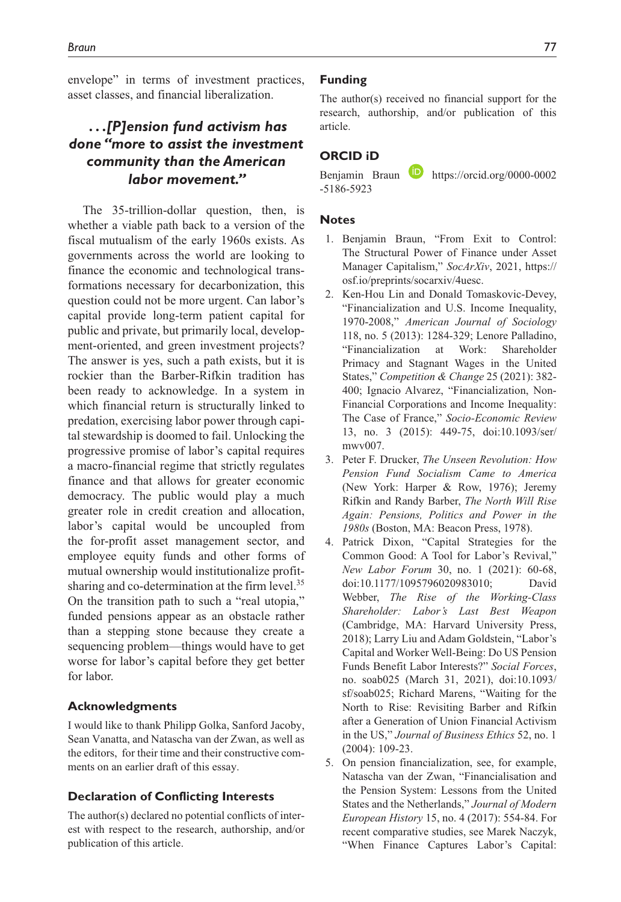envelope" in terms of investment practices, asset classes, and financial liberalization.

# *. . .[P]ension fund activism has done "more to assist the investment community than the American labor movement."*

The 35-trillion-dollar question, then, is whether a viable path back to a version of the fiscal mutualism of the early 1960s exists. As governments across the world are looking to finance the economic and technological transformations necessary for decarbonization, this question could not be more urgent. Can labor's capital provide long-term patient capital for public and private, but primarily local, development-oriented, and green investment projects? The answer is yes, such a path exists, but it is rockier than the Barber-Rifkin tradition has been ready to acknowledge. In a system in which financial return is structurally linked to predation, exercising labor power through capital stewardship is doomed to fail. Unlocking the progressive promise of labor's capital requires a macro-financial regime that strictly regulates finance and that allows for greater economic democracy. The public would play a much greater role in credit creation and allocation, labor's capital would be uncoupled from the for-profit asset management sector, and employee equity funds and other forms of mutual ownership would institutionalize profitsharing and co-determination at the firm level.<sup>35</sup> On the transition path to such a "real utopia," funded pensions appear as an obstacle rather than a stepping stone because they create a sequencing problem—things would have to get worse for labor's capital before they get better for labor.

#### **Acknowledgments**

I would like to thank Philipp Golka, Sanford Jacoby, Sean Vanatta, and Natascha van der Zwan, as well as the editors, for their time and their constructive comments on an earlier draft of this essay.

#### **Declaration of Conflicting Interests**

The author(s) declared no potential conflicts of interest with respect to the research, authorship, and/or publication of this article.

#### **Funding**

The author(s) received no financial support for the research, authorship, and/or publication of this article.

#### **ORCID iD**

Benjamin Braun **b** [https://orcid.org/0000-0002](https://orcid.org/0000-0002 -5186-5923) [-5186-5923](https://orcid.org/0000-0002 -5186-5923)

#### **Notes**

- 1. Benjamin Braun, "From Exit to Control: The Structural Power of Finance under Asset Manager Capitalism," *SocArXiv*, 2021, [https://](https://osf.io/preprints/socarxiv/4uesc) [osf.io/preprints/socarxiv/4uesc.](https://osf.io/preprints/socarxiv/4uesc)
- 2. Ken-Hou Lin and Donald Tomaskovic-Devey, "Financialization and U.S. Income Inequality, 1970-2008," *American Journal of Sociology* 118, no. 5 (2013): 1284-329; Lenore Palladino, "Financialization at Work: Shareholder Primacy and Stagnant Wages in the United States," *Competition & Change* 25 (2021): 382- 400; Ignacio Alvarez, "Financialization, Non-Financial Corporations and Income Inequality: The Case of France," *Socio-Economic Review* 13, no. 3 (2015): 449-75, doi:10.1093/ser/ mwv007.
- 3. Peter F. Drucker, *The Unseen Revolution: How Pension Fund Socialism Came to America* (New York: Harper & Row, 1976); Jeremy Rifkin and Randy Barber, *The North Will Rise Again: Pensions, Politics and Power in the 1980s* (Boston, MA: Beacon Press, 1978).
- 4. Patrick Dixon, "Capital Strategies for the Common Good: A Tool for Labor's Revival," *New Labor Forum* 30, no. 1 (2021): 60-68, doi:10.1177/1095796020983010; David Webber, *The Rise of the Working-Class Shareholder: Labor's Last Best Weapon* (Cambridge, MA: Harvard University Press, 2018); Larry Liu and Adam Goldstein, "Labor's Capital and Worker Well-Being: Do US Pension Funds Benefit Labor Interests?" *Social Forces*, no. soab025 (March 31, 2021), doi:10.1093/ sf/soab025; Richard Marens, "Waiting for the North to Rise: Revisiting Barber and Rifkin after a Generation of Union Financial Activism in the US," *Journal of Business Ethics* 52, no. 1 (2004): 109-23.
- 5. On pension financialization, see, for example, Natascha van der Zwan, "Financialisation and the Pension System: Lessons from the United States and the Netherlands," *Journal of Modern European History* 15, no. 4 (2017): 554-84. For recent comparative studies, see Marek Naczyk, "When Finance Captures Labor's Capital: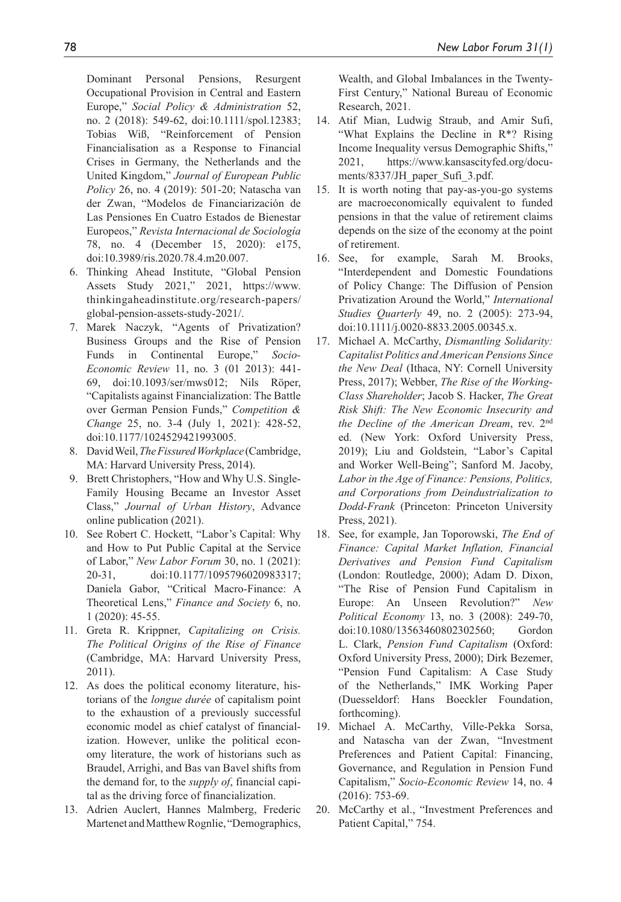Dominant Personal Pensions, Resurgent Occupational Provision in Central and Eastern Europe," *Social Policy & Administration* 52, no. 2 (2018): 549-62, doi:10.1111/spol.12383; Tobias Wiß, "Reinforcement of Pension Financialisation as a Response to Financial Crises in Germany, the Netherlands and the United Kingdom," *Journal of European Public Policy* 26, no. 4 (2019): 501-20; Natascha van der Zwan, "Modelos de Financiarización de Las Pensiones En Cuatro Estados de Bienestar Europeos," *Revista Internacional de Sociología* 78, no. 4 (December 15, 2020): e175, doi:10.3989/ris.2020.78.4.m20.007.

- 6. Thinking Ahead Institute, "Global Pension Assets Study 2021," 2021, [https://www.](https://www.thinkingaheadinstitute.org/research-papers/global-pension-assets-study-2021/) [thinkingaheadinstitute.org/research-papers/](https://www.thinkingaheadinstitute.org/research-papers/global-pension-assets-study-2021/) [global-pension-assets-study-2021/](https://www.thinkingaheadinstitute.org/research-papers/global-pension-assets-study-2021/).
- 7. Marek Naczyk, "Agents of Privatization? Business Groups and the Rise of Pension Funds in Continental Europe," *Socio-Economic Review* 11, no. 3 (01 2013): 441- 69, doi:10.1093/ser/mws012; Nils Röper, "Capitalists against Financialization: The Battle over German Pension Funds," *Competition & Change* 25, no. 3-4 (July 1, 2021): 428-52, doi:10.1177/1024529421993005.
- 8. David Weil, *The Fissured Workplace* (Cambridge, MA: Harvard University Press, 2014).
- 9. Brett Christophers, "How and Why U.S. Single-Family Housing Became an Investor Asset Class," *Journal of Urban History*, Advance online publication (2021).
- 10. See Robert C. Hockett, "Labor's Capital: Why and How to Put Public Capital at the Service of Labor," *New Labor Forum* 30, no. 1 (2021): 20-31, doi:10.1177/1095796020983317; Daniela Gabor, "Critical Macro-Finance: A Theoretical Lens," *Finance and Society* 6, no. 1 (2020): 45-55.
- 11. Greta R. Krippner, *Capitalizing on Crisis. The Political Origins of the Rise of Finance* (Cambridge, MA: Harvard University Press, 2011).
- 12. As does the political economy literature, historians of the *longue durée* of capitalism point to the exhaustion of a previously successful economic model as chief catalyst of financialization. However, unlike the political economy literature, the work of historians such as Braudel, Arrighi, and Bas van Bavel shifts from the demand for, to the *supply of*, financial capital as the driving force of financialization.
- 13. Adrien Auclert, Hannes Malmberg, Frederic Martenet and Matthew Rognlie, "Demographics,

Wealth, and Global Imbalances in the Twenty-First Century," National Bureau of Economic Research, 2021.

- 14. Atif Mian, Ludwig Straub, and Amir Sufi, "What Explains the Decline in R\*? Rising Income Inequality versus Demographic Shifts," 2021, [https://www.kansascityfed.org/docu](https://www.kansascityfed.org/documents/8337/JH_paper_Sufi_3.pdf)[ments/8337/JH\\_paper\\_Sufi\\_3.pdf.](https://www.kansascityfed.org/documents/8337/JH_paper_Sufi_3.pdf)
- 15. It is worth noting that pay-as-you-go systems are macroeconomically equivalent to funded pensions in that the value of retirement claims depends on the size of the economy at the point of retirement.
- 16. See, for example, Sarah M. Brooks, "Interdependent and Domestic Foundations of Policy Change: The Diffusion of Pension Privatization Around the World," *International Studies Quarterly* 49, no. 2 (2005): 273-94, doi:10.1111/j.0020-8833.2005.00345.x.
- 17. Michael A. McCarthy, *Dismantling Solidarity: Capitalist Politics and American Pensions Since the New Deal* (Ithaca, NY: Cornell University Press, 2017); Webber, *The Rise of the Working-Class Shareholder*; Jacob S. Hacker, *The Great Risk Shift: The New Economic Insecurity and the Decline of the American Dream*, rev. 2nd ed. (New York: Oxford University Press, 2019); Liu and Goldstein, "Labor's Capital and Worker Well-Being"; Sanford M. Jacoby, *Labor in the Age of Finance: Pensions, Politics, and Corporations from Deindustrialization to Dodd-Frank* (Princeton: Princeton University Press, 2021).
- 18. See, for example, Jan Toporowski, *The End of Finance: Capital Market Inflation, Financial Derivatives and Pension Fund Capitalism* (London: Routledge, 2000); Adam D. Dixon, "The Rise of Pension Fund Capitalism in Europe: An Unseen Revolution?" *New Political Economy* 13, no. 3 (2008): 249-70, doi:10.1080/13563460802302560; Gordon L. Clark, *Pension Fund Capitalism* (Oxford: Oxford University Press, 2000); Dirk Bezemer, "Pension Fund Capitalism: A Case Study of the Netherlands," IMK Working Paper (Duesseldorf: Hans Boeckler Foundation, forthcoming).
- 19. Michael A. McCarthy, Ville-Pekka Sorsa, and Natascha van der Zwan, "Investment Preferences and Patient Capital: Financing, Governance, and Regulation in Pension Fund Capitalism," *Socio-Economic Review* 14, no. 4 (2016): 753-69.
- 20. McCarthy et al., "Investment Preferences and Patient Capital," 754.